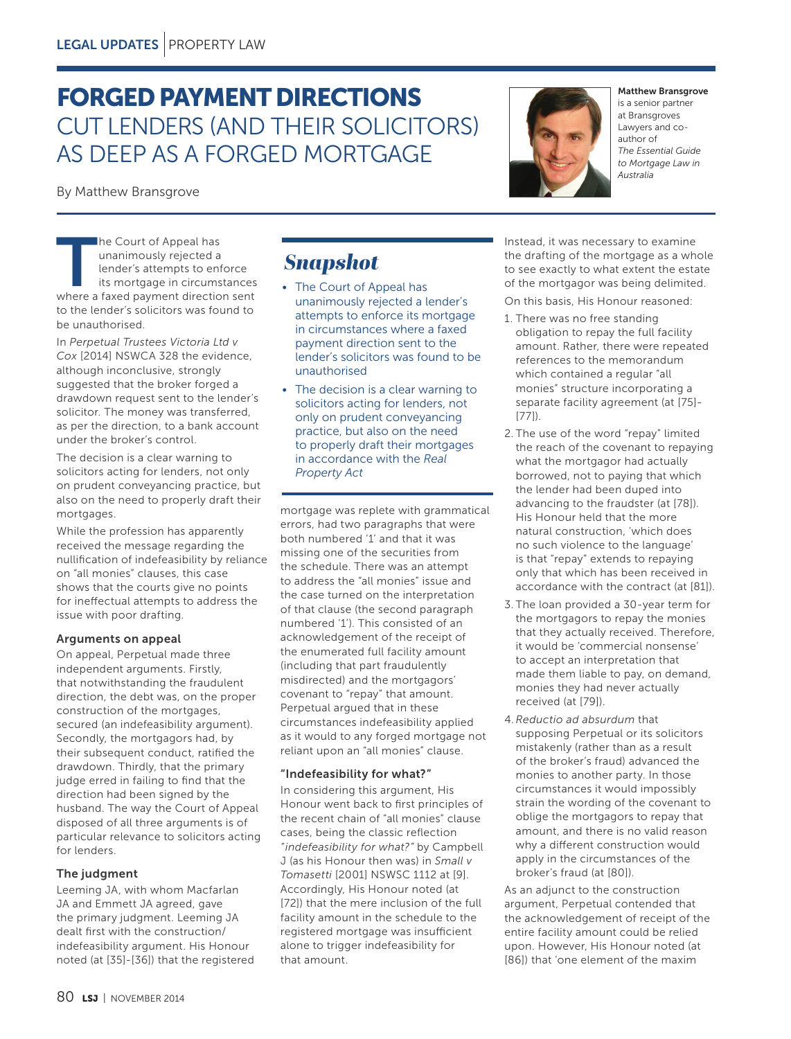# FORGED PAYMENT DIRECTIONS CUT LENDERS (AND THEIR SOLICITORS) AS DEEP AS A FORGED MORTGAGE

By Matthew Bransgrove

The Court of Appeal has<br>
unanimously rejected a<br>
lender's attempts to enforce<br>
its mortgage in circumstances<br>
where a faxed payment direction sent unanimously rejected a lender's attempts to enforce its mortgage in circumstances to the lender's solicitors was found to be unauthorised.

In *Perpetual Trustees Victoria Ltd v Cox* [2014] NSWCA 328 the evidence, although inconclusive, strongly suggested that the broker forged a drawdown request sent to the lender's solicitor. The money was transferred, as per the direction, to a bank account under the broker's control.

The decision is a clear warning to solicitors acting for lenders, not only on prudent conveyancing practice, but also on the need to properly draft their mortgages.

While the profession has apparently received the message regarding the nullification of indefeasibility by reliance on "all monies" clauses, this case shows that the courts give no points for ineffectual attempts to address the issue with poor drafting.

# Arguments on appeal

On appeal, Perpetual made three independent arguments. Firstly, that notwithstanding the fraudulent direction, the debt was, on the proper construction of the mortgages, secured (an indefeasibility argument). Secondly, the mortgagors had, by their subsequent conduct, ratified the drawdown. Thirdly, that the primary judge erred in failing to find that the direction had been signed by the husband. The way the Court of Appeal disposed of all three arguments is of particular relevance to solicitors acting for lenders.

# The judgment

Leeming JA, with whom Macfarlan JA and Emmett JA agreed, gave the primary judgment. Leeming JA dealt first with the construction/ indefeasibility argument. His Honour noted (at [35]-[36]) that the registered

# *Snapshot*

- The Court of Appeal has unanimously rejected a lender's attempts to enforce its mortgage in circumstances where a faxed payment direction sent to the lender's solicitors was found to be unauthorised
- The decision is a clear warning to solicitors acting for lenders, not only on prudent conveyancing practice, but also on the need to properly draft their mortgages in accordance with the *Real Property Act*

mortgage was replete with grammatical errors, had two paragraphs that were both numbered '1' and that it was missing one of the securities from the schedule. There was an attempt to address the "all monies" issue and the case turned on the interpretation of that clause (the second paragraph numbered '1'). This consisted of an acknowledgement of the receipt of the enumerated full facility amount (including that part fraudulently misdirected) and the mortgagors' covenant to "repay" that amount. Perpetual argued that in these circumstances indefeasibility applied as it would to any forged mortgage not reliant upon an "all monies" clause.

# "Indefeasibility for what?"

In considering this argument, His Honour went back to first principles of the recent chain of "all monies" clause cases, being the classic reflection *"indefeasibility for what?"* by Campbell J (as his Honour then was) in *Small v Tomasetti* [2001] NSWSC 1112 at [9]. Accordingly, His Honour noted (at [72]) that the mere inclusion of the full facility amount in the schedule to the registered mortgage was insufficient alone to trigger indefeasibility for that amount.

Instead, it was necessary to examine the drafting of the mortgage as a whole to see exactly to what extent the estate of the mortgagor was being delimited. On this basis, His Honour reasoned:

- 1. There was no free standing obligation to repay the full facility amount. Rather, there were repeated references to the memorandum which contained a regular "all monies" structure incorporating a separate facility agreement (at [75]- [77]).
- 2. The use of the word "repay" limited the reach of the covenant to repaying what the mortgagor had actually borrowed, not to paying that which the lender had been duped into advancing to the fraudster (at [78]). His Honour held that the more natural construction, 'which does no such violence to the language' is that "repay" extends to repaying only that which has been received in accordance with the contract (at [81]).
- 3. The loan provided a 30-year term for the mortgagors to repay the monies that they actually received. Therefore, it would be 'commercial nonsense' to accept an interpretation that made them liable to pay, on demand, monies they had never actually received (at [79]).
- 4.*Reductio ad absurdum* that supposing Perpetual or its solicitors mistakenly (rather than as a result of the broker's fraud) advanced the monies to another party. In those circumstances it would impossibly strain the wording of the covenant to oblige the mortgagors to repay that amount, and there is no valid reason why a different construction would apply in the circumstances of the broker's fraud (at [80]).

As an adjunct to the construction argument, Perpetual contended that the acknowledgement of receipt of the entire facility amount could be relied upon. However, His Honour noted (at [86]) that 'one element of the maxim



#### Matthew Bransgrove

is a senior partner at Bransgroves Lawyers and coauthor of *The Essential Guide to Mortgage Law in Australia*